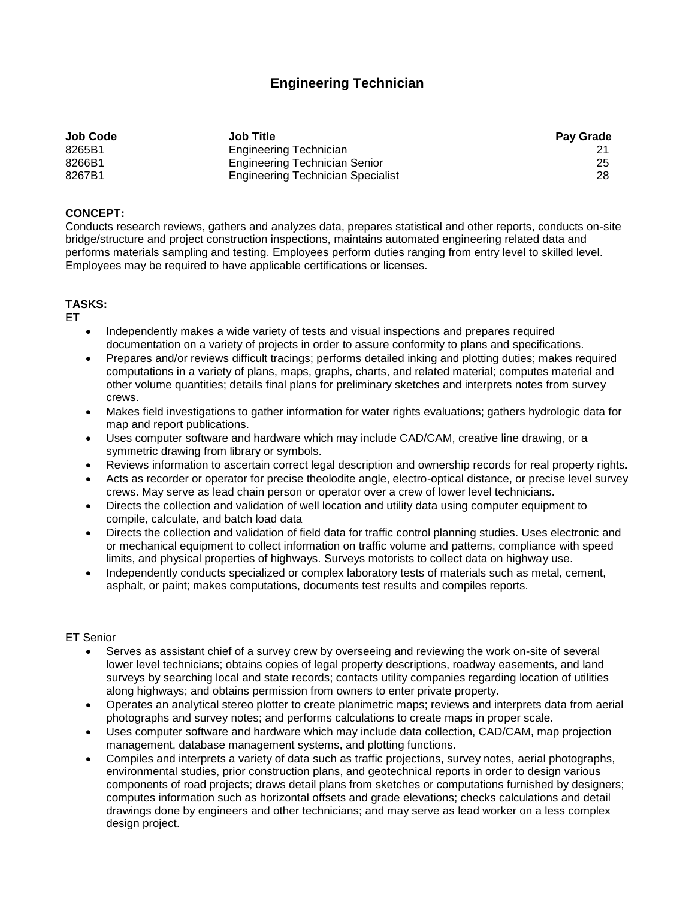# **Engineering Technician**

| <b>Job Code</b> | <b>Job Title</b>                         | <b>Pay Grade</b> |
|-----------------|------------------------------------------|------------------|
| 8265B1          | Engineering Technician                   |                  |
| 8266B1          | <b>Engineering Technician Senior</b>     | 25               |
| 8267B1          | <b>Engineering Technician Specialist</b> | 28               |

# **CONCEPT:**

Conducts research reviews, gathers and analyzes data, prepares statistical and other reports, conducts on-site bridge/structure and project construction inspections, maintains automated engineering related data and performs materials sampling and testing. Employees perform duties ranging from entry level to skilled level. Employees may be required to have applicable certifications or licenses.

# **TASKS:**

ET

- Independently makes a wide variety of tests and visual inspections and prepares required documentation on a variety of projects in order to assure conformity to plans and specifications.
- Prepares and/or reviews difficult tracings; performs detailed inking and plotting duties; makes required computations in a variety of plans, maps, graphs, charts, and related material; computes material and other volume quantities; details final plans for preliminary sketches and interprets notes from survey crews.
- Makes field investigations to gather information for water rights evaluations; gathers hydrologic data for map and report publications.
- Uses computer software and hardware which may include CAD/CAM, creative line drawing, or a symmetric drawing from library or symbols.
- Reviews information to ascertain correct legal description and ownership records for real property rights.
- Acts as recorder or operator for precise theolodite angle, electro-optical distance, or precise level survey crews. May serve as lead chain person or operator over a crew of lower level technicians.
- Directs the collection and validation of well location and utility data using computer equipment to compile, calculate, and batch load data
- Directs the collection and validation of field data for traffic control planning studies. Uses electronic and or mechanical equipment to collect information on traffic volume and patterns, compliance with speed limits, and physical properties of highways. Surveys motorists to collect data on highway use.
- Independently conducts specialized or complex laboratory tests of materials such as metal, cement, asphalt, or paint; makes computations, documents test results and compiles reports.

#### ET Senior

- Serves as assistant chief of a survey crew by overseeing and reviewing the work on-site of several lower level technicians; obtains copies of legal property descriptions, roadway easements, and land surveys by searching local and state records; contacts utility companies regarding location of utilities along highways; and obtains permission from owners to enter private property.
- Operates an analytical stereo plotter to create planimetric maps; reviews and interprets data from aerial photographs and survey notes; and performs calculations to create maps in proper scale.
- Uses computer software and hardware which may include data collection, CAD/CAM, map projection management, database management systems, and plotting functions.
- Compiles and interprets a variety of data such as traffic projections, survey notes, aerial photographs, environmental studies, prior construction plans, and geotechnical reports in order to design various components of road projects; draws detail plans from sketches or computations furnished by designers; computes information such as horizontal offsets and grade elevations; checks calculations and detail drawings done by engineers and other technicians; and may serve as lead worker on a less complex design project.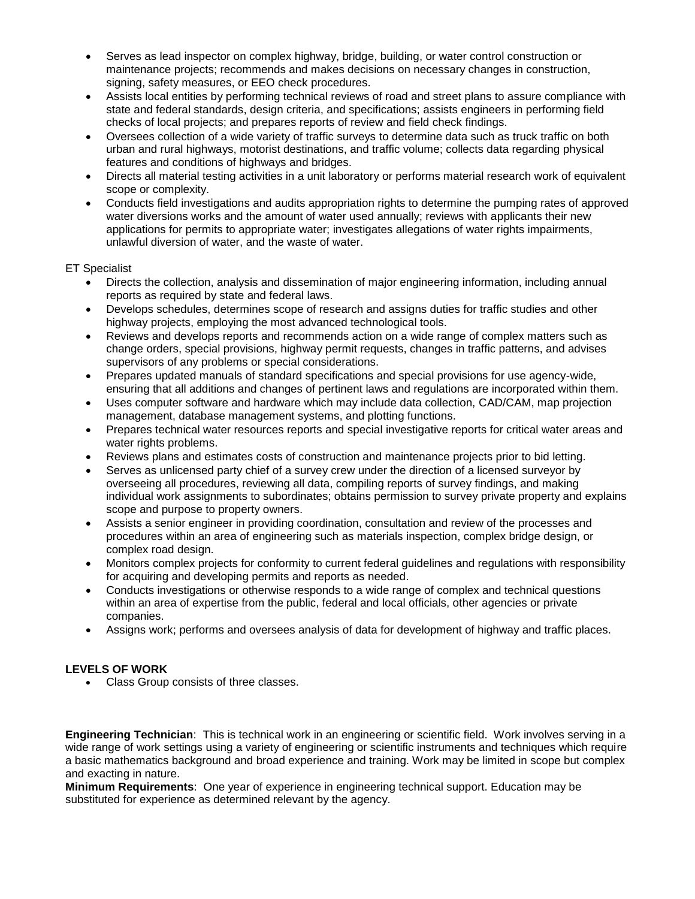- Serves as lead inspector on complex highway, bridge, building, or water control construction or maintenance projects; recommends and makes decisions on necessary changes in construction, signing, safety measures, or EEO check procedures.
- Assists local entities by performing technical reviews of road and street plans to assure compliance with state and federal standards, design criteria, and specifications; assists engineers in performing field checks of local projects; and prepares reports of review and field check findings.
- Oversees collection of a wide variety of traffic surveys to determine data such as truck traffic on both urban and rural highways, motorist destinations, and traffic volume; collects data regarding physical features and conditions of highways and bridges.
- Directs all material testing activities in a unit laboratory or performs material research work of equivalent scope or complexity.
- Conducts field investigations and audits appropriation rights to determine the pumping rates of approved water diversions works and the amount of water used annually; reviews with applicants their new applications for permits to appropriate water; investigates allegations of water rights impairments, unlawful diversion of water, and the waste of water.

# ET Specialist

- Directs the collection, analysis and dissemination of major engineering information, including annual reports as required by state and federal laws.
- Develops schedules, determines scope of research and assigns duties for traffic studies and other highway projects, employing the most advanced technological tools.
- Reviews and develops reports and recommends action on a wide range of complex matters such as change orders, special provisions, highway permit requests, changes in traffic patterns, and advises supervisors of any problems or special considerations.
- Prepares updated manuals of standard specifications and special provisions for use agency-wide, ensuring that all additions and changes of pertinent laws and regulations are incorporated within them.
- Uses computer software and hardware which may include data collection, CAD/CAM, map projection management, database management systems, and plotting functions.
- Prepares technical water resources reports and special investigative reports for critical water areas and water rights problems.
- Reviews plans and estimates costs of construction and maintenance projects prior to bid letting.
- Serves as unlicensed party chief of a survey crew under the direction of a licensed surveyor by overseeing all procedures, reviewing all data, compiling reports of survey findings, and making individual work assignments to subordinates; obtains permission to survey private property and explains scope and purpose to property owners.
- Assists a senior engineer in providing coordination, consultation and review of the processes and procedures within an area of engineering such as materials inspection, complex bridge design, or complex road design.
- Monitors complex projects for conformity to current federal guidelines and regulations with responsibility for acquiring and developing permits and reports as needed.
- Conducts investigations or otherwise responds to a wide range of complex and technical questions within an area of expertise from the public, federal and local officials, other agencies or private companies.
- Assigns work; performs and oversees analysis of data for development of highway and traffic places.

# **LEVELS OF WORK**

• Class Group consists of three classes.

**Engineering Technician**: This is technical work in an engineering or scientific field. Work involves serving in a wide range of work settings using a variety of engineering or scientific instruments and techniques which require a basic mathematics background and broad experience and training. Work may be limited in scope but complex and exacting in nature.

**Minimum Requirements**: One year of experience in engineering technical support. Education may be substituted for experience as determined relevant by the agency.